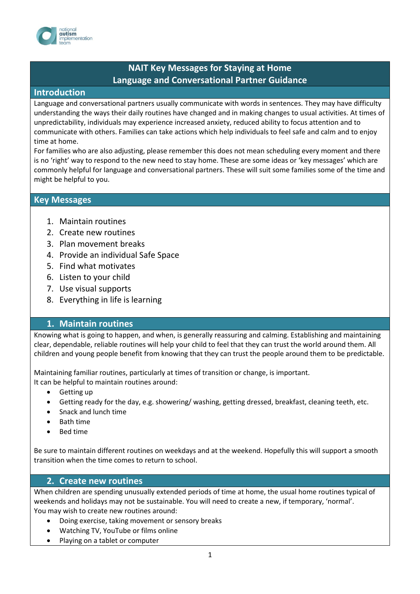

# **NAIT Key Messages for Staying at Home Language and Conversational Partner Guidance**

#### **Introduction**

Language and conversational partners usually communicate with words in sentences. They may have difficulty understanding the ways their daily routines have changed and in making changes to usual activities. At times of unpredictability, individuals may experience increased anxiety, reduced ability to focus attention and to communicate with others. Families can take actions which help individuals to feel safe and calm and to enjoy time at home.

For families who are also adjusting, please remember this does not mean scheduling every moment and there is no 'right' way to respond to the new need to stay home. These are some ideas or 'key messages' which are commonly helpful for language and conversational partners. These will suit some families some of the time and might be helpful to you.

#### **Key Messages**

- 1. Maintain routines
- 2. Create new routines
- 3. Plan movement breaks
- 4. Provide an individual Safe Space
- 5. Find what motivates
- 6. Listen to your child
- 7. Use visual supports
- 8. Everything in life is learning

### **1. Maintain routines**

Knowing what is going to happen, and when, is generally reassuring and calming. Establishing and maintaining clear, dependable, reliable routines will help your child to feel that they can trust the world around them. All children and young people benefit from knowing that they can trust the people around them to be predictable.

Maintaining familiar routines, particularly at times of transition or change, is important.

It can be helpful to maintain routines around:

- Getting up
- Getting ready for the day, e.g. showering/ washing, getting dressed, breakfast, cleaning teeth, etc.
- Snack and lunch time
- Bath time
- Bed time

Be sure to maintain different routines on weekdays and at the weekend. Hopefully this will support a smooth transition when the time comes to return to school.

### **2. Create new routines**

When children are spending unusually extended periods of time at home, the usual home routines typical of weekends and holidays may not be sustainable. You will need to create a new, if temporary, 'normal'. You may wish to create new routines around:

- Doing exercise, taking movement or sensory breaks
- Watching TV, YouTube or films online
- Playing on a tablet or computer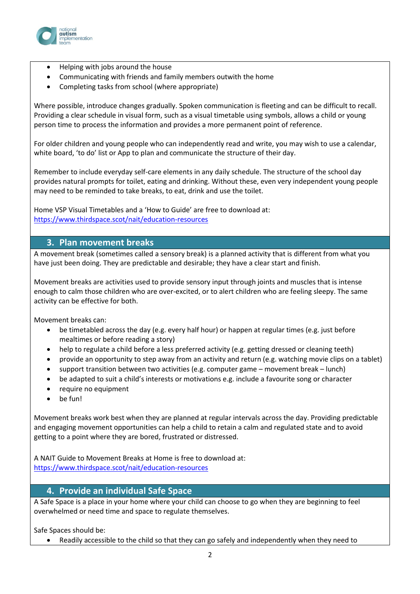

- Helping with jobs around the house
- Communicating with friends and family members outwith the home
- Completing tasks from school (where appropriate)

Where possible, introduce changes gradually. Spoken communication is fleeting and can be difficult to recall. Providing a clear schedule in visual form, such as a visual timetable using symbols, allows a child or young person time to process the information and provides a more permanent point of reference.

For older children and young people who can independently read and write, you may wish to use a calendar, white board, 'to do' list or App to plan and communicate the structure of their day.

Remember to include everyday self-care elements in any daily schedule. The structure of the school day provides natural prompts for toilet, eating and drinking. Without these, even very independent young people may need to be reminded to take breaks, to eat, drink and use the toilet.

Home VSP Visual Timetables and a 'How to Guide' are free to download at: <https://www.thirdspace.scot/nait/education-resources>

### **3. Plan movement breaks**

A movement break (sometimes called a sensory break) is a planned activity that is different from what you have just been doing. They are predictable and desirable; they have a clear start and finish.

Movement breaks are activities used to provide sensory input through joints and muscles that is intense enough to calm those children who are over-excited, or to alert children who are feeling sleepy. The same activity can be effective for both.

Movement breaks can:

- be timetabled across the day (e.g. every half hour) or happen at regular times (e.g. just before mealtimes or before reading a story)
- help to regulate a child before a less preferred activity (e.g. getting dressed or cleaning teeth)
- provide an opportunity to step away from an activity and return (e.g. watching movie clips on a tablet)
- support transition between two activities (e.g. computer game movement break lunch)
- be adapted to suit a child's interests or motivations e.g. include a favourite song or character
- require no equipment
- be fun!

Movement breaks work best when they are planned at regular intervals across the day. Providing predictable and engaging movement opportunities can help a child to retain a calm and regulated state and to avoid getting to a point where they are bored, frustrated or distressed.

A NAIT Guide to Movement Breaks at Home is free to download at: <https://www.thirdspace.scot/nait/education-resources>

### **4. Provide an individual Safe Space**

A Safe Space is a place in your home where your child can choose to go when they are beginning to feel overwhelmed or need time and space to regulate themselves.

Safe Spaces should be:

Readily accessible to the child so that they can go safely and independently when they need to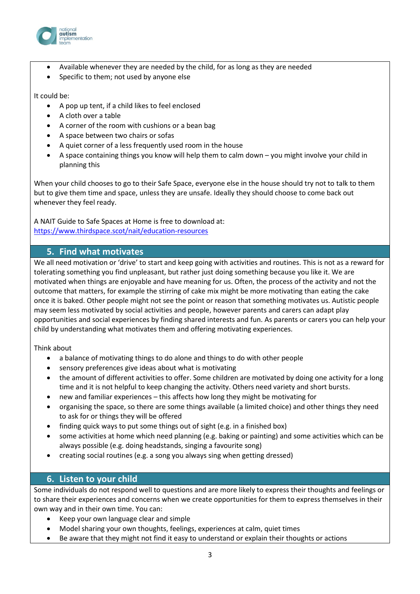

- Available whenever they are needed by the child, for as long as they are needed
- Specific to them; not used by anyone else

#### It could be:

- A pop up tent, if a child likes to feel enclosed
- A cloth over a table
- A corner of the room with cushions or a bean bag
- A space between two chairs or sofas
- A quiet corner of a less frequently used room in the house
- A space containing things you know will help them to calm down you might involve your child in planning this

When your child chooses to go to their Safe Space, everyone else in the house should try not to talk to them but to give them time and space, unless they are unsafe. Ideally they should choose to come back out whenever they feel ready.

A NAIT Guide to Safe Spaces at Home is free to download at: <https://www.thirdspace.scot/nait/education-resources>

### **5. Find what motivates**

We all need motivation or 'drive' to start and keep going with activities and routines. This is not as a reward for tolerating something you find unpleasant, but rather just doing something because you like it. We are motivated when things are enjoyable and have meaning for us. Often, the process of the activity and not the outcome that matters, for example the stirring of cake mix might be more motivating than eating the cake once it is baked. Other people might not see the point or reason that something motivates us. Autistic people may seem less motivated by social activities and people, however parents and carers can adapt play opportunities and social experiences by finding shared interests and fun. As parents or carers you can help your child by understanding what motivates them and offering motivating experiences.

Think about

- a balance of motivating things to do alone and things to do with other people
- sensory preferences give ideas about what is motivating
- the amount of different activities to offer. Some children are motivated by doing one activity for a long time and it is not helpful to keep changing the activity. Others need variety and short bursts.
- new and familiar experiences this affects how long they might be motivating for
- organising the space, so there are some things available (a limited choice) and other things they need to ask for or things they will be offered
- finding quick ways to put some things out of sight (e.g. in a finished box)
- some activities at home which need planning (e.g. baking or painting) and some activities which can be always possible (e.g. doing headstands, singing a favourite song)
- creating social routines (e.g. a song you always sing when getting dressed)

### **6. Listen to your child**

Some individuals do not respond well to questions and are more likely to express their thoughts and feelings or to share their experiences and concerns when we create opportunities for them to express themselves in their own way and in their own time. You can:

- Keep your own language clear and simple
- Model sharing your own thoughts, feelings, experiences at calm, quiet times
- Be aware that they might not find it easy to understand or explain their thoughts or actions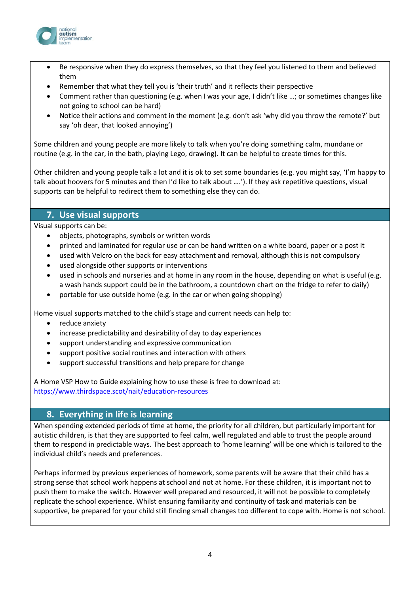

- Be responsive when they do express themselves, so that they feel you listened to them and believed them
- Remember that what they tell you is 'their truth' and it reflects their perspective
- Comment rather than questioning (e.g. when I was your age, I didn't like …; or sometimes changes like not going to school can be hard)
- Notice their actions and comment in the moment (e.g. don't ask 'why did you throw the remote?' but say 'oh dear, that looked annoying')

Some children and young people are more likely to talk when you're doing something calm, mundane or routine (e.g. in the car, in the bath, playing Lego, drawing). It can be helpful to create times for this.

Other children and young people talk a lot and it is ok to set some boundaries (e.g. you might say, 'I'm happy to talk about hoovers for 5 minutes and then I'd like to talk about ….'). If they ask repetitive questions, visual supports can be helpful to redirect them to something else they can do.

## **7. Use visual supports**

Visual supports can be:

- objects, photographs, symbols or written words
- printed and laminated for regular use or can be hand written on a white board, paper or a post it
- used with Velcro on the back for easy attachment and removal, although this is not compulsory
- used alongside other supports or interventions
- used in schools and nurseries and at home in any room in the house, depending on what is useful (e.g. a wash hands support could be in the bathroom, a countdown chart on the fridge to refer to daily)
- portable for use outside home (e.g. in the car or when going shopping)

Home visual supports matched to the child's stage and current needs can help to:

- reduce anxiety
- increase predictability and desirability of day to day experiences
- support understanding and expressive communication
- support positive social routines and interaction with others
- support successful transitions and help prepare for change

A Home VSP How to Guide explaining how to use these is free to download at: <https://www.thirdspace.scot/nait/education-resources>

### **8. Everything in life is learning**

When spending extended periods of time at home, the priority for all children, but particularly important for autistic children, is that they are supported to feel calm, well regulated and able to trust the people around them to respond in predictable ways. The best approach to 'home learning' will be one which is tailored to the individual child's needs and preferences.

Perhaps informed by previous experiences of homework, some parents will be aware that their child has a strong sense that school work happens at school and not at home. For these children, it is important not to push them to make the switch. However well prepared and resourced, it will not be possible to completely replicate the school experience. Whilst ensuring familiarity and continuity of task and materials can be supportive, be prepared for your child still finding small changes too different to cope with. Home is not school.